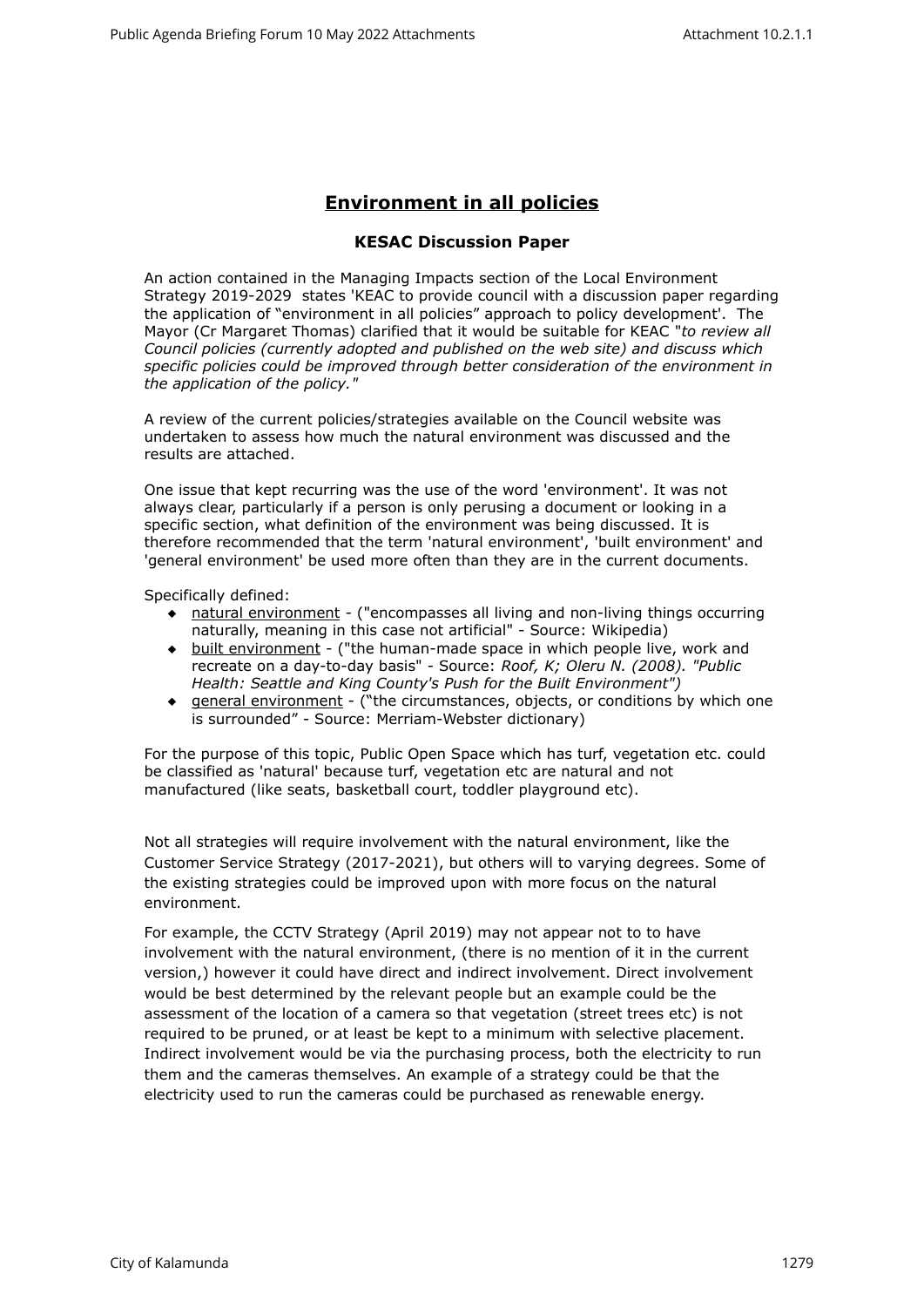## **Environment in all policies**

## **KESAC Discussion Paper**

An action contained in the Managing Impacts section of the Local Environment Strategy 2019-2029 states 'KEAC to provide council with a discussion paper regarding the application of "environment in all policies" approach to policy development'. The Mayor (Cr Margaret Thomas) clarified that it would be suitable for KEAC "*to review all Council policies (currently adopted and published on the web site) and discuss which specific policies could be improved through better consideration of the environment in the application of the policy."*

A review of the current policies/strategies available on the Council website was undertaken to assess how much the natural environment was discussed and the results are attached.

One issue that kept recurring was the use of the word 'environment'. It was not always clear, particularly if a person is only perusing a document or looking in a specific section, what definition of the environment was being discussed. It is therefore recommended that the term 'natural environment', 'built environment' and 'general environment' be used more often than they are in the current documents.

Specifically defined:

- natural environment ("encompasses all living and non-living things occurring naturally, meaning in this case not artificial" - Source: Wikipedia)
- built environment ("the human-made space in which people live, work and recreate on a day-to-day basis" - Source: *Roof, K; Oleru N. (2008). "Public Health: Seattle and King County's Push for the Built Environment")*
- general environment ("the circumstances, objects, or conditions by which one is surrounded" - Source: Merriam-Webster dictionary)

For the purpose of this topic, Public Open Space which has turf, vegetation etc. could be classified as 'natural' because turf, vegetation etc are natural and not manufactured (like seats, basketball court, toddler playground etc).

Not all strategies will require involvement with the natural environment, like the Customer Service Strategy (2017-2021), but others will to varying degrees. Some of the existing strategies could be improved upon with more focus on the natural environment.

For example, the CCTV Strategy (April 2019) may not appear not to to have involvement with the natural environment, (there is no mention of it in the current version,) however it could have direct and indirect involvement. Direct involvement would be best determined by the relevant people but an example could be the assessment of the location of a camera so that vegetation (street trees etc) is not required to be pruned, or at least be kept to a minimum with selective placement. Indirect involvement would be via the purchasing process, both the electricity to run them and the cameras themselves. An example of a strategy could be that the electricity used to run the cameras could be purchased as renewable energy.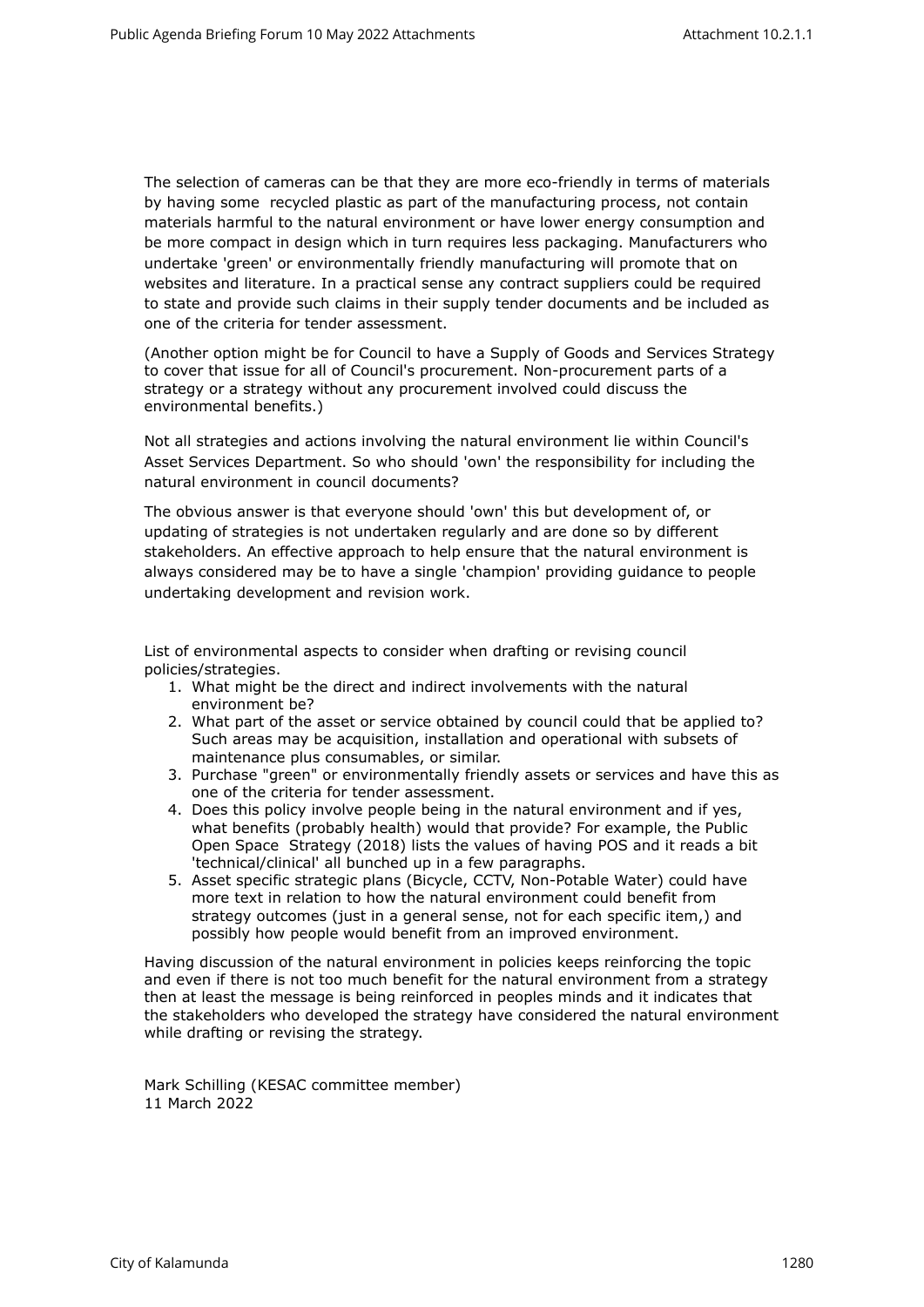The selection of cameras can be that they are more eco-friendly in terms of materials by having some recycled plastic as part of the manufacturing process, not contain materials harmful to the natural environment or have lower energy consumption and be more compact in design which in turn requires less packaging. Manufacturers who undertake 'green' or environmentally friendly manufacturing will promote that on websites and literature. In a practical sense any contract suppliers could be required to state and provide such claims in their supply tender documents and be included as one of the criteria for tender assessment.

(Another option might be for Council to have a Supply of Goods and Services Strategy to cover that issue for all of Council's procurement. Non-procurement parts of a strategy or a strategy without any procurement involved could discuss the environmental benefits.)

Not all strategies and actions involving the natural environment lie within Council's Asset Services Department. So who should 'own' the responsibility for including the natural environment in council documents?

The obvious answer is that everyone should 'own' this but development of, or updating of strategies is not undertaken regularly and are done so by different stakeholders. An effective approach to help ensure that the natural environment is always considered may be to have a single 'champion' providing guidance to people undertaking development and revision work.

List of environmental aspects to consider when drafting or revising council policies/strategies.

- 1. What might be the direct and indirect involvements with the natural environment be?
- 2. What part of the asset or service obtained by council could that be applied to? Such areas may be acquisition, installation and operational with subsets of maintenance plus consumables, or similar.
- 3. Purchase "green" or environmentally friendly assets or services and have this as one of the criteria for tender assessment.
- 4. Does this policy involve people being in the natural environment and if yes, what benefits (probably health) would that provide? For example, the Public Open Space Strategy (2018) lists the values of having POS and it reads a bit 'technical/clinical' all bunched up in a few paragraphs.
- 5. Asset specific strategic plans (Bicycle, CCTV, Non-Potable Water) could have more text in relation to how the natural environment could benefit from strategy outcomes (just in a general sense, not for each specific item,) and possibly how people would benefit from an improved environment.

Having discussion of the natural environment in policies keeps reinforcing the topic and even if there is not too much benefit for the natural environment from a strategy then at least the message is being reinforced in peoples minds and it indicates that the stakeholders who developed the strategy have considered the natural environment while drafting or revising the strategy.

Mark Schilling (KESAC committee member) 11 March 2022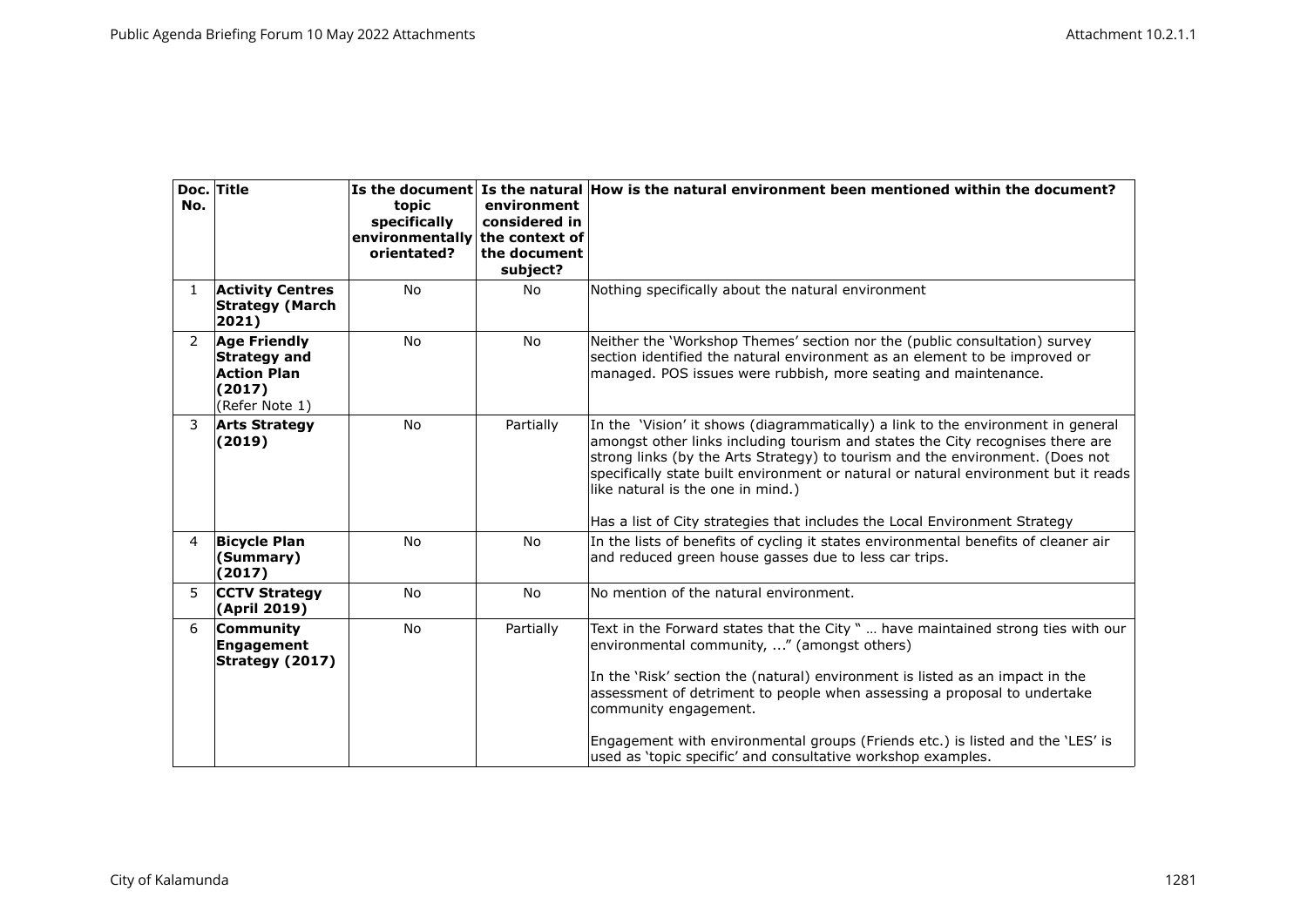| No.            | Doc. Title                                                                                   | topic<br>specifically<br>environmentally the context of<br>orientated? | environment<br>considered in<br>the document<br>subject? | Is the document Is the natural How is the natural environment been mentioned within the document?                                                                                                                                                                                                                                                                                                                                                                       |
|----------------|----------------------------------------------------------------------------------------------|------------------------------------------------------------------------|----------------------------------------------------------|-------------------------------------------------------------------------------------------------------------------------------------------------------------------------------------------------------------------------------------------------------------------------------------------------------------------------------------------------------------------------------------------------------------------------------------------------------------------------|
| $\mathbf{1}$   | <b>Activity Centres</b><br><b>Strategy (March</b><br>2021)                                   | <b>No</b>                                                              | No                                                       | Nothing specifically about the natural environment                                                                                                                                                                                                                                                                                                                                                                                                                      |
| $\overline{2}$ | <b>Age Friendly</b><br><b>Strategy and</b><br><b>Action Plan</b><br>(2017)<br>(Refer Note 1) | <b>No</b>                                                              | <b>No</b>                                                | Neither the 'Workshop Themes' section nor the (public consultation) survey<br>section identified the natural environment as an element to be improved or<br>managed. POS issues were rubbish, more seating and maintenance.                                                                                                                                                                                                                                             |
| 3              | <b>Arts Strategy</b><br>(2019)                                                               | <b>No</b>                                                              | Partially                                                | In the 'Vision' it shows (diagrammatically) a link to the environment in general<br>amongst other links including tourism and states the City recognises there are<br>strong links (by the Arts Strategy) to tourism and the environment. (Does not<br>specifically state built environment or natural or natural environment but it reads<br>like natural is the one in mind.)<br>Has a list of City strategies that includes the Local Environment Strategy           |
| 4              | <b>Bicycle Plan</b><br>(Summary)<br>(2017)                                                   | <b>No</b>                                                              | <b>No</b>                                                | In the lists of benefits of cycling it states environmental benefits of cleaner air<br>and reduced green house gasses due to less car trips.                                                                                                                                                                                                                                                                                                                            |
| 5.             | <b>CCTV Strategy</b><br>(April 2019)                                                         | <b>No</b>                                                              | <b>No</b>                                                | No mention of the natural environment.                                                                                                                                                                                                                                                                                                                                                                                                                                  |
| 6              | Community<br>Engagement<br>Strategy (2017)                                                   | No                                                                     | Partially                                                | Text in the Forward states that the City "  have maintained strong ties with our<br>environmental community, " (amongst others)<br>In the 'Risk' section the (natural) environment is listed as an impact in the<br>assessment of detriment to people when assessing a proposal to undertake<br>community engagement.<br>Engagement with environmental groups (Friends etc.) is listed and the 'LES' is<br>used as 'topic specific' and consultative workshop examples. |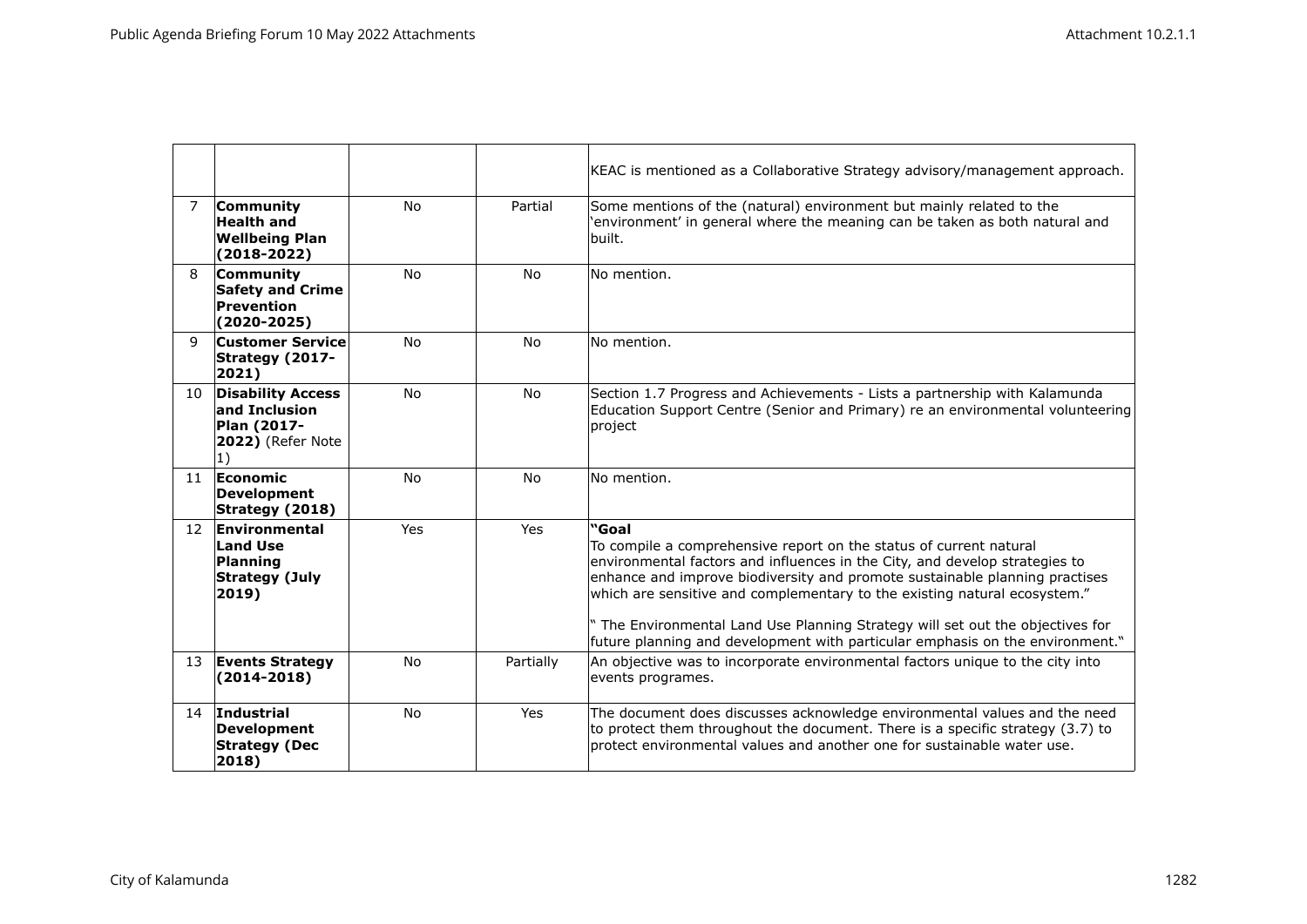|                |                                                                                              |           |                | KEAC is mentioned as a Collaborative Strategy advisory/management approach.                                                                                                                                                                                                                                                                                                                                                                                                             |
|----------------|----------------------------------------------------------------------------------------------|-----------|----------------|-----------------------------------------------------------------------------------------------------------------------------------------------------------------------------------------------------------------------------------------------------------------------------------------------------------------------------------------------------------------------------------------------------------------------------------------------------------------------------------------|
| $\overline{7}$ | Community<br><b>Health and</b><br><b>Wellbeing Plan</b><br>$(2018 - 2022)$                   | <b>No</b> | Partial        | Some mentions of the (natural) environment but mainly related to the<br>'environment' in general where the meaning can be taken as both natural and<br>built.                                                                                                                                                                                                                                                                                                                           |
| 8              | Community<br><b>Safety and Crime</b><br>Prevention<br>$(2020 - 2025)$                        | <b>No</b> | <b>No</b>      | No mention.                                                                                                                                                                                                                                                                                                                                                                                                                                                                             |
| q              | <b>Customer Service</b><br>Strategy (2017-<br>2021)                                          | <b>No</b> | <b>No</b>      | No mention.                                                                                                                                                                                                                                                                                                                                                                                                                                                                             |
| 10             | <b>Disability Access</b><br>and Inclusion<br>Plan (2017-<br>2022) (Refer Note<br>$ 1\rangle$ | <b>No</b> | N <sub>o</sub> | Section 1.7 Progress and Achievements - Lists a partnership with Kalamunda<br>Education Support Centre (Senior and Primary) re an environmental volunteering<br> project                                                                                                                                                                                                                                                                                                                |
| 11             | Economic<br>Development<br>Strategy (2018)                                                   | <b>No</b> | <b>No</b>      | No mention.                                                                                                                                                                                                                                                                                                                                                                                                                                                                             |
| 12             | Environmental<br><b>Land Use</b><br>Planning<br><b>Strategy (July</b><br>2019)               | Yes       | Yes            | "Goal<br>To compile a comprehensive report on the status of current natural<br>environmental factors and influences in the City, and develop strategies to<br>enhance and improve biodiversity and promote sustainable planning practises<br>which are sensitive and complementary to the existing natural ecosystem."<br>The Environmental Land Use Planning Strategy will set out the objectives for<br>future planning and development with particular emphasis on the environment." |
| 13             | <b>Events Strategy</b><br>$(2014 - 2018)$                                                    | <b>No</b> | Partially      | An objective was to incorporate environmental factors unique to the city into<br>events programes.                                                                                                                                                                                                                                                                                                                                                                                      |
| 14             | Industrial<br>Development<br><b>Strategy (Dec</b><br>2018)                                   | No        | Yes            | The document does discusses acknowledge environmental values and the need<br>to protect them throughout the document. There is a specific strategy (3.7) to<br>protect environmental values and another one for sustainable water use.                                                                                                                                                                                                                                                  |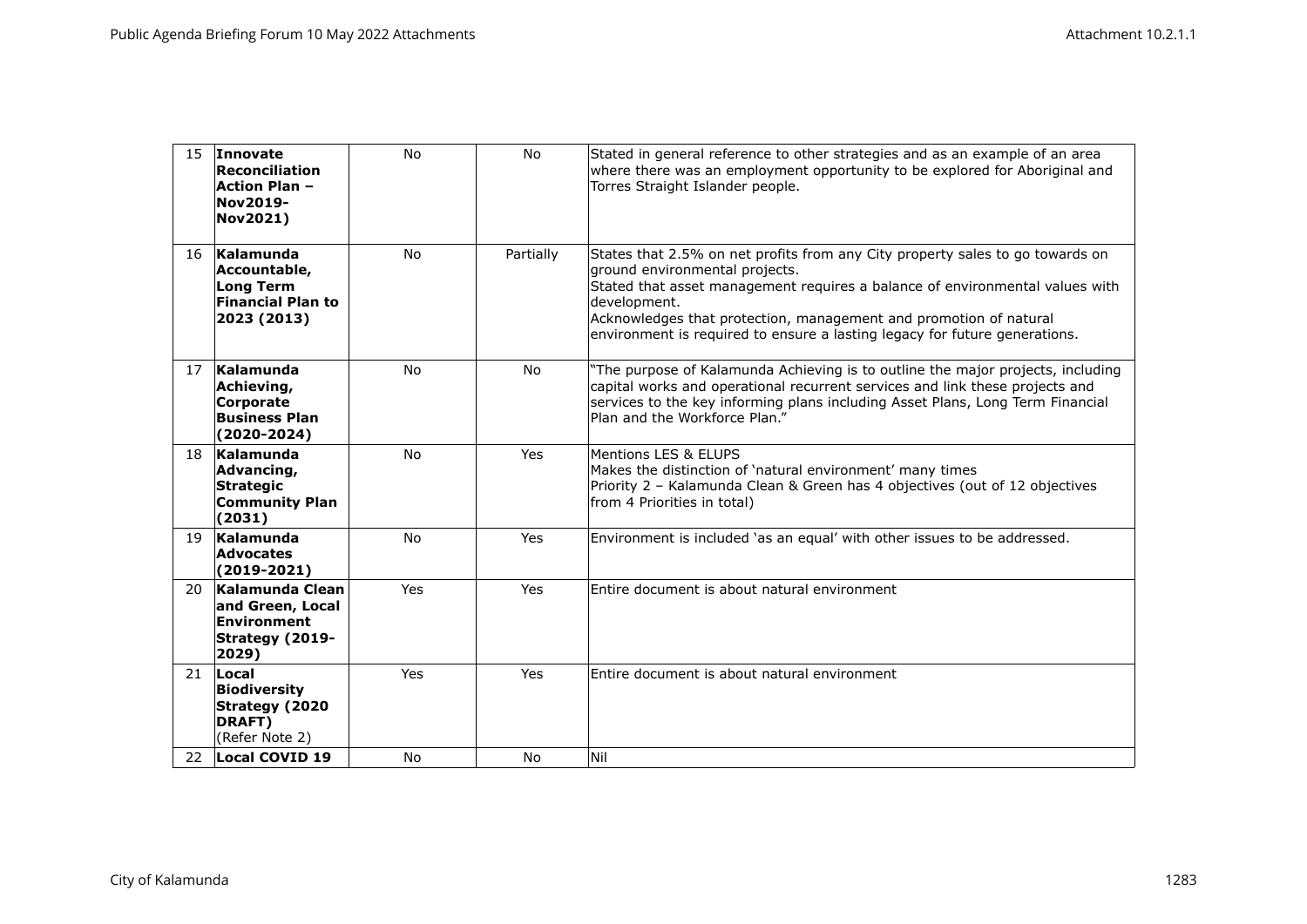| 15  | Innovate<br>Reconciliation<br><b>Action Plan -</b><br><b>Nov2019-</b><br><b>Nov2021)</b> | <b>No</b>  | No             | Stated in general reference to other strategies and as an example of an area<br>where there was an employment opportunity to be explored for Aboriginal and<br>Torres Straight Islander people.                                                                                                                                                                    |
|-----|------------------------------------------------------------------------------------------|------------|----------------|--------------------------------------------------------------------------------------------------------------------------------------------------------------------------------------------------------------------------------------------------------------------------------------------------------------------------------------------------------------------|
| 16  | Kalamunda<br>Accountable,<br><b>Long Term</b><br><b>Financial Plan to</b><br>2023 (2013) | <b>No</b>  | Partially      | States that 2.5% on net profits from any City property sales to go towards on<br>ground environmental projects.<br>Stated that asset management requires a balance of environmental values with<br>development.<br>Acknowledges that protection, management and promotion of natural<br>environment is required to ensure a lasting legacy for future generations. |
| 17  | Kalamunda<br>Achieving,<br>Corporate<br><b>Business Plan</b><br>$(2020 - 2024)$          | <b>No</b>  | <b>No</b>      | "The purpose of Kalamunda Achieving is to outline the major projects, including<br>capital works and operational recurrent services and link these projects and<br>services to the key informing plans including Asset Plans, Long Term Financial<br>Plan and the Workforce Plan."                                                                                 |
| 18  | Kalamunda<br>Advancing,<br><b>Strategic</b><br><b>Community Plan</b><br>(2031)           | <b>No</b>  | Yes            | Mentions LES & ELUPS<br>Makes the distinction of 'natural environment' many times<br>Priority 2 - Kalamunda Clean & Green has 4 objectives (out of 12 objectives<br>from 4 Priorities in total)                                                                                                                                                                    |
| 19  | Kalamunda<br><b>Advocates</b><br>$(2019-2021)$                                           | <b>No</b>  | Yes            | Environment is included 'as an equal' with other issues to be addressed.                                                                                                                                                                                                                                                                                           |
| 20. | Kalamunda Clean<br>and Green, Local<br>Environment<br>Strategy (2019-<br>2029)           | Yes        | Yes            | Entire document is about natural environment                                                                                                                                                                                                                                                                                                                       |
| 21  | Local<br>Biodiversity<br>Strategy (2020<br>DRAFT)<br>(Refer Note 2)                      | <b>Yes</b> | <b>Yes</b>     | Entire document is about natural environment                                                                                                                                                                                                                                                                                                                       |
| 22  | Local COVID 19                                                                           | <b>No</b>  | N <sub>o</sub> | Nil                                                                                                                                                                                                                                                                                                                                                                |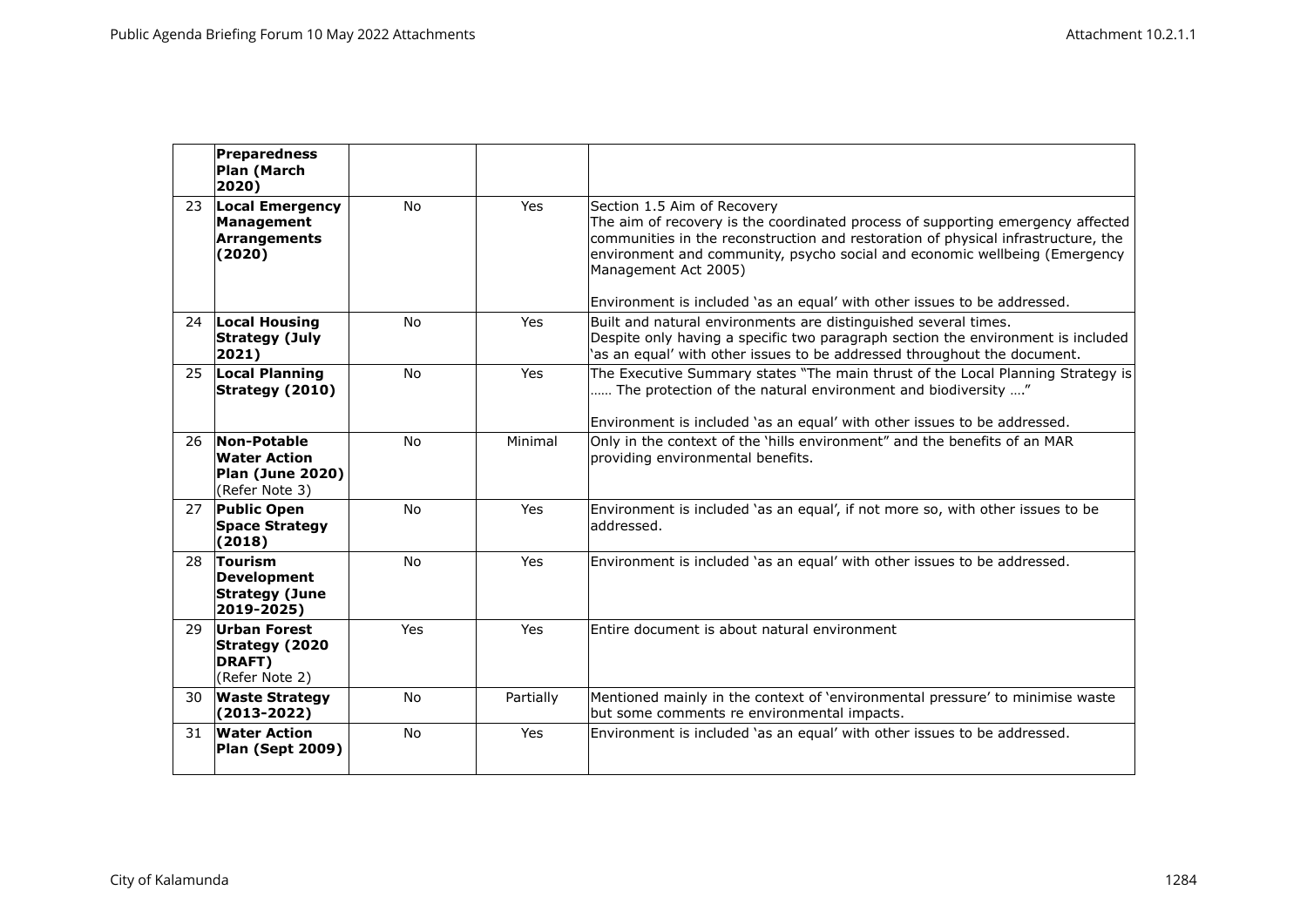|     | Preparedness<br>Plan (March<br>2020)                                     |           |           |                                                                                                                                                                                                                                                                                                                                                                                       |
|-----|--------------------------------------------------------------------------|-----------|-----------|---------------------------------------------------------------------------------------------------------------------------------------------------------------------------------------------------------------------------------------------------------------------------------------------------------------------------------------------------------------------------------------|
| 23  | <b>Local Emergency</b><br>Management<br><b>Arrangements</b><br>(2020)    | <b>No</b> | Yes       | Section 1.5 Aim of Recovery<br>The aim of recovery is the coordinated process of supporting emergency affected<br>communities in the reconstruction and restoration of physical infrastructure, the<br>environment and community, psycho social and economic wellbeing (Emergency<br>Management Act 2005)<br>Environment is included 'as an equal' with other issues to be addressed. |
| 24  | <b>Local Housing</b><br><b>Strategy (July</b><br>2021)                   | <b>No</b> | Yes       | Built and natural environments are distinguished several times.<br>Despite only having a specific two paragraph section the environment is included<br>'as an equal' with other issues to be addressed throughout the document.                                                                                                                                                       |
| 25  | <b>Local Planning</b><br>Strategy (2010)                                 | <b>No</b> | Yes       | The Executive Summary states "The main thrust of the Local Planning Strategy is<br>The protection of the natural environment and biodiversity "<br>Environment is included 'as an equal' with other issues to be addressed.                                                                                                                                                           |
| 26. | Non-Potable<br><b>Water Action</b><br>Plan (June 2020)<br>(Refer Note 3) | <b>No</b> | Minimal   | Only in the context of the 'hills environment" and the benefits of an MAR<br>providing environmental benefits.                                                                                                                                                                                                                                                                        |
| 27  | <b>Public Open</b><br><b>Space Strategy</b><br>(2018)                    | <b>No</b> | Yes       | Environment is included 'as an equal', if not more so, with other issues to be<br>laddressed.                                                                                                                                                                                                                                                                                         |
| 28  | Tourism<br>Development<br><b>Strategy (June</b><br>2019-2025)            | <b>No</b> | Yes       | Environment is included 'as an equal' with other issues to be addressed.                                                                                                                                                                                                                                                                                                              |
| 29  | Urban Forest<br>Strategy (2020<br>DRAFT)<br>(Refer Note 2)               | Yes       | Yes       | Entire document is about natural environment                                                                                                                                                                                                                                                                                                                                          |
| 30  | <b>Waste Strategy</b><br>$(2013 - 2022)$                                 | <b>No</b> | Partially | Mentioned mainly in the context of 'environmental pressure' to minimise waste<br>but some comments re environmental impacts.                                                                                                                                                                                                                                                          |
| 31  | <b>Water Action</b><br>Plan (Sept 2009)                                  | <b>No</b> | Yes       | Environment is included 'as an equal' with other issues to be addressed.                                                                                                                                                                                                                                                                                                              |